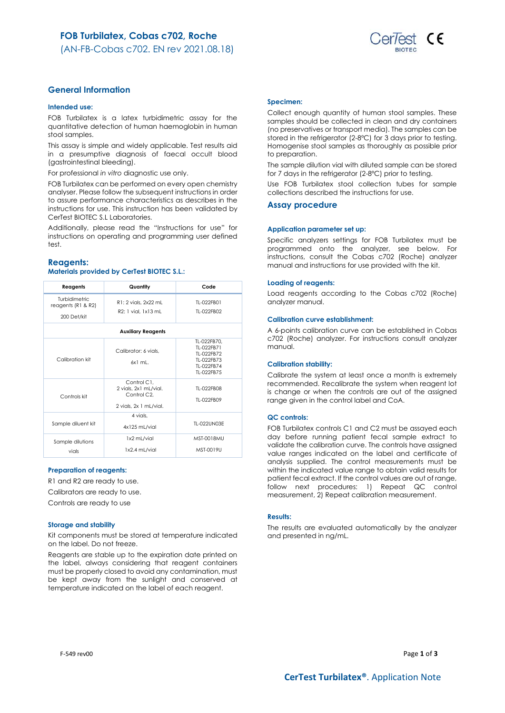

## **General Information**

### **Intended use:**

FOB Turbilatex is a latex turbidimetric assay for the quantitative detection of human haemoglobin in human stool samples.

This assay is simple and widely applicable. Test results aid in a presumptive diagnosis of faecal occult blood (gastrointestinal bleeding).

For professional *in vitro* diagnostic use only.

FOB Turbilatex can be performed on every open chemistry analyser. Please follow the subsequent instructions in order to assure performance characteristics as describes in the instructions for use. This instruction has been validated by CerTest BIOTEC S.L Laboratories.

Additionally, please read the "Instructions for use" for instructions on operating and programming user defined test.

### **Reagents:**

## **Materials provided by CerTest BIOTEC S.L.:**

| Reagents                                           | Quantity                                                                                   | Code                                                                              |
|----------------------------------------------------|--------------------------------------------------------------------------------------------|-----------------------------------------------------------------------------------|
| Turbidimetric<br>reagents (R1 & R2)<br>200 Det/kit | R1: 2 vials, 2x22 mL<br>R2: 1 vial. 1x13 mL                                                | TI-022FB01<br>TI-022FB02                                                          |
|                                                    | <b>Auxiliary Reagents</b>                                                                  |                                                                                   |
| Calibration kit                                    | Calibrator: 6 vials.<br>$6x1$ ml.                                                          | TL-022FB70.<br>TI-022FB71<br>TI-022FB72<br>TI-022FB73<br>TI-022FB74<br>TI-022FB75 |
| Controls kit                                       | Control C1.<br>2 vials, 2x1 mL/vial.<br>Control C <sub>2</sub> .<br>2 vials, 2x 1 mL/vial. | TI-022FB08<br>TI-022FB09                                                          |
| Sample diluent kit                                 | 4 vials.<br>4x125 mL/vial                                                                  | TI-022UN03F                                                                       |
| Sample dilutions<br>vials                          | 1x2 mL/vial<br>1x2.4 mL/vial                                                               | <b>MST-0018MU</b><br>MST-0019U                                                    |

### **Preparation of reagents:**

R1 and R2 are ready to use.

Calibrators are ready to use.

Controls are ready to use

### **Storage and stability**

Kit components must be stored at temperature indicated on the label. Do not freeze.

Reagents are stable up to the expiration date printed on the label, always considering that reagent containers must be properly closed to avoid any contamination, must be kept away from the sunlight and conserved at temperature indicated on the label of each reagent.

### **Specimen:**

Collect enough quantity of human stool samples. These samples should be collected in clean and dry containers (no preservatives or transport media). The samples can be stored in the refrigerator (2-8ºC) for 3 days prior to testing. Homogenise stool samples as thoroughly as possible prior to preparation.

The sample dilution vial with diluted sample can be stored for 7 days in the refrigerator (2-8°C) prior to testing.

Use FOB Turbilatex stool collection tubes for sample collections described the instructions for use.

## **Assay procedure**

#### **Application parameter set up:**

Specific analyzers settings for FOB Turbilatex must be programmed onto the analyzer, see below. For instructions, consult the Cobas c702 (Roche) analyzer manual and instructions for use provided with the kit.

### **Loading of reagents:**

Load reagents according to the Cobas c702 (Roche) analyzer manual.

### **Calibration curve establishment:**

A 6-points calibration curve can be established in Cobas c702 (Roche) analyzer. For instructions consult analyzer manual.

### **Calibration stability:**

Calibrate the system at least once a month is extremely recommended. Recalibrate the system when reagent lot is change or when the controls are out of the assigned range given in the control label and CoA.

### **QC controls:**

FOB Turbilatex controls C1 and C2 must be assayed each day before running patient fecal sample extract to validate the calibration curve. The controls have assigned value ranges indicated on the label and certificate of analysis supplied. The control measurements must be within the indicated value range to obtain valid results for patient fecal extract. If the control values are out of range, follow next procedures: 1) Repeat QC control measurement, 2) Repeat calibration measurement.

### **Results:**

The results are evaluated automatically by the analyzer and presented in ng/mL.

F-549 rev00 Page **1** of **3**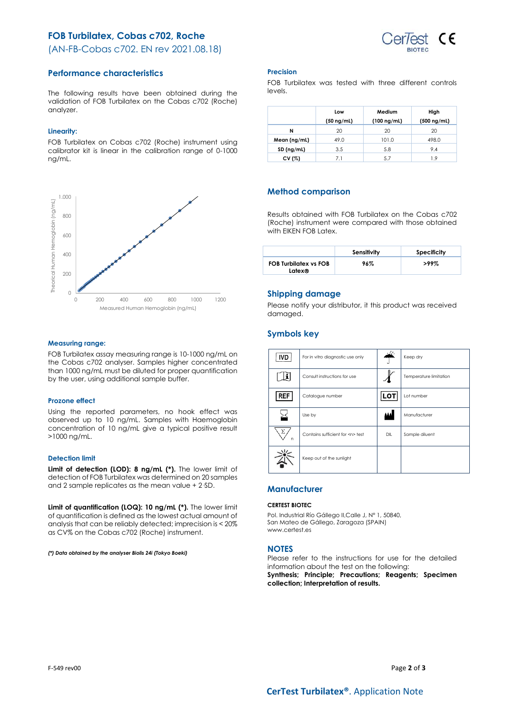# **FOB Turbilatex, Cobas c702, Roche**



(AN-FB-Cobas c702. EN rev 2021.08.18)

## **Performance characteristics**

The following results have been obtained during the validation of FOB Turbilatex on the Cobas c702 (Roche) analyzer.

## **Linearity:**

FOB Turbilatex on Cobas c702 (Roche) instrument using calibrator kit is linear in the calibration range of 0-1000 ng/mL.



### **Measuring range:**

FOB Turbilatex assay measuring range is 10-1000 ng/mL on the Cobas c702 analyser. Samples higher concentrated than 1000 ng/mL must be diluted for proper quantification by the user, using additional sample buffer.

## **Prozone effect**

Using the reported parameters, no hook effect was observed up to 10 ng/mL. Samples with Haemoglobin concentration of 10 ng/mL give a typical positive result >1000 ng/mL.

## **Detection limit**

**Limit of detection (LOD): 8 ng/mL (\*).** The lower limit of detection of FOB Turbilatex was determined on 20 samples and 2 sample replicates as the mean value + 2·SD.

**Limit of quantification (LOQ): 10 ng/mL (\*).** The lower limit of quantification is defined as the lowest actual amount of analysis that can be reliably detected; imprecision is < 20% as CV% on the Cobas c702 (Roche) instrument.

*(\*) Data obtained by the analyser Biolis 24i (Tokyo Boeki)*

## **Precision**

FOB Turbilatex was tested with three different controls levels.

|              | Low             | Medium           | High             |
|--------------|-----------------|------------------|------------------|
|              | $(50 \nmid mL)$ | $(100 \nmid mL)$ | $(500 \nmid mL)$ |
| N            | 20              | 20               | 20               |
| Mean (ng/mL) | 49.0            | 101.0            | 498.0            |
| SD (ng/mL)   | 3.5             | 5.8              | 9.4              |
| CV(%)        | 7.1             | 5.7              | 1.9              |

# **Method comparison**

Results obtained with FOB Turbilatex on the Cobas c702 (Roche) instrument were compared with those obtained with EIKEN FOB Latex.

|                                        | Sensitivity | Specificity |
|----------------------------------------|-------------|-------------|
| <b>FOB Turbilatex vs FOB</b><br>Latex® | 96%         | >99%        |

## **Shipping damage**

Please notify your distributor, it this product was received damaged.

# **Symbols key**

|            |                                      | ali.       |                        |
|------------|--------------------------------------|------------|------------------------|
| <b>IVD</b> | For in vitro diagnostic use only     |            | Keep dry               |
|            | Consult instructions for use         |            | Temperature limitation |
| <b>REF</b> | Catalogue number                     | <b>LOT</b> | Lot number             |
|            | Use by                               | W          | Manufacturer           |
| Σ<br>n     | Contains sufficient for <n> test</n> | DIL        | Sample diluent         |
|            | Keep out of the sunlight             |            |                        |

## **Manufacturer**

### **CERTEST BIOTEC**

Pol. Industrial Río Gállego II,Calle J, Nº 1, 50840, San Mateo de Gállego, Zaragoza (SPAIN) www.certest.es

## **NOTES**

Please refer to the instructions for use for the detailed information about the test on the following: **Synthesis; Principle; Precautions; Reagents; Specimen collection; Interpretation of results.**